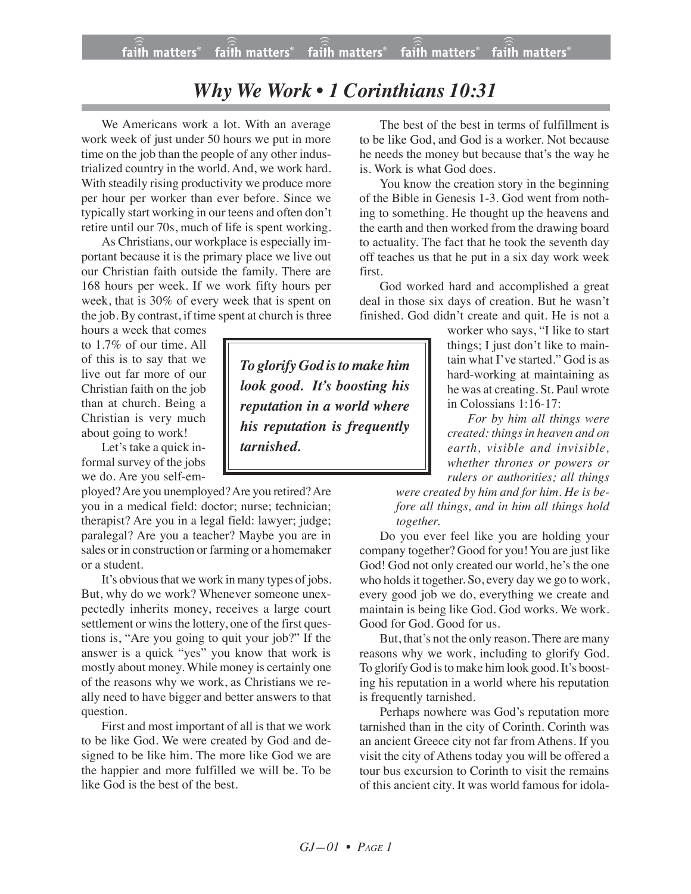## *Why We Work • 1 Corinthians 10:31*

We Americans work a lot. With an average work week of just under 50 hours we put in more time on the job than the people of any other industrialized country in the world. And, we work hard. With steadily rising productivity we produce more per hour per worker than ever before. Since we typically start working in our teens and often don't retire until our 70s, much of life is spent working.

As Christians, our workplace is especially important because it is the primary place we live out our Christian faith outside the family. There are 168 hours per week. If we work fifty hours per week, that is 30% of every week that is spent on the job. By contrast, if time spent at church is three

hours a week that comes to 1.7% of our time. All of this is to say that we live out far more of our Christian faith on the job than at church. Being a Christian is very much about going to work!

Let's take a quick informal survey of the jobs we do. Are you self-em-

ployed?Are you unemployed?Are you retired?Are you in a medical field: doctor; nurse; technician; therapist? Are you in a legal field: lawyer; judge; paralegal? Are you a teacher? Maybe you are in sales or in construction or farming or a homemaker or a student.

It's obvious that we work in many types of jobs. But, why do we work? Whenever someone unexpectedly inherits money, receives a large court settlement or wins the lottery, one of the first questions is, "Are you going to quit your job?" If the answer is a quick "yes" you know that work is mostly about money. While money is certainly one of the reasons why we work, as Christians we really need to have bigger and better answers to that question.

First and most important of all is that we work to be like God. We were created by God and designed to be like him. The more like God we are the happier and more fulfilled we will be. To be like God is the best of the best.

The best of the best in terms of fulfillment is to be like God, and God is a worker. Not because he needs the money but because that's the way he is. Work is what God does.

You know the creation story in the beginning of the Bible in Genesis 1-3. God went from nothing to something. He thought up the heavens and the earth and then worked from the drawing board to actuality. The fact that he took the seventh day off teaches us that he put in a six day work week first.

God worked hard and accomplished a great deal in those six days of creation. But he wasn't finished. God didn't create and quit. He is not a

worker who says, "I like to start things; I just don't like to maintain what I've started." God is as hard-working at maintaining as he was at creating. St. Paul wrote in Colossians 1:16-17:

*For by him all things were created: things in heaven and on earth, visible and invisible, whether thrones or powers or rulers or authorities; all things*

*were created by him and for him. He is before all things, and in him all things hold together.*

Do you ever feel like you are holding your company together? Good for you! You are just like God! God not only created our world, he's the one who holds it together. So, every day we go to work, every good job we do, everything we create and maintain is being like God. God works. We work. Good for God. Good for us.

But, that's not the only reason. There are many reasons why we work, including to glorify God. To glorify God is to make him look good. It's boosting his reputation in a world where his reputation is frequently tarnished.

Perhaps nowhere was God's reputation more tarnished than in the city of Corinth. Corinth was an ancient Greece city not far from Athens. If you visit the city of Athens today you will be offered a tour bus excursion to Corinth to visit the remains of this ancient city. It was world famous for idola-

*To glorify God isto make him look good. It's boosting his reputation in a world where his reputation is frequently tarnished.*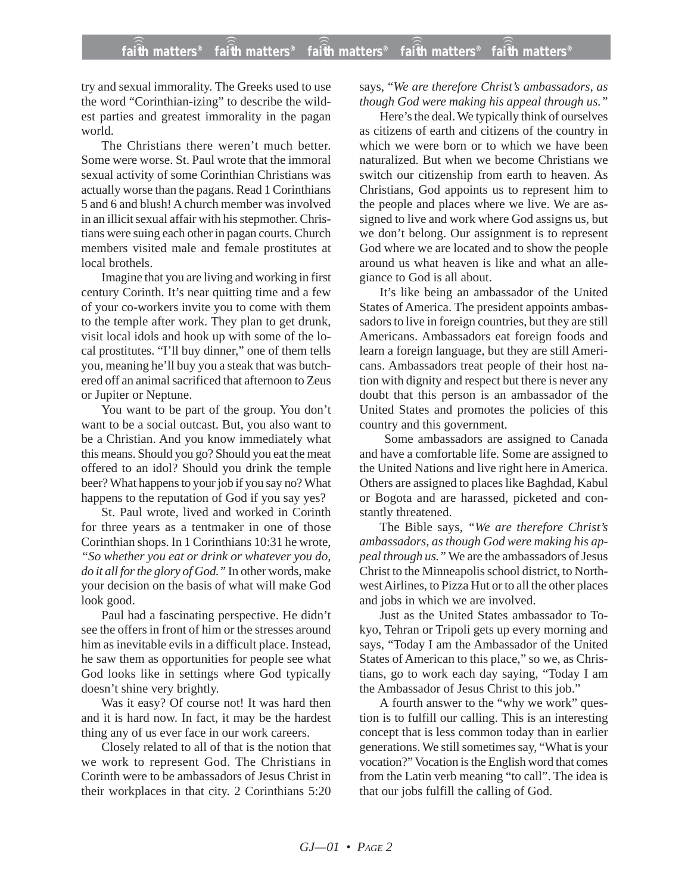try and sexual immorality. The Greeks used to use the word "Corinthian-izing" to describe the wildest parties and greatest immorality in the pagan world.

The Christians there weren't much better. Some were worse. St. Paul wrote that the immoral sexual activity of some Corinthian Christians was actually worse than the pagans. Read 1 Corinthians 5 and 6 and blush! A church member was involved in an illicit sexual affair with his stepmother. Christians were suing each other in pagan courts. Church members visited male and female prostitutes at local brothels.

Imagine that you are living and working in first century Corinth. It's near quitting time and a few of your co-workers invite you to come with them to the temple after work. They plan to get drunk, visit local idols and hook up with some of the local prostitutes. "I'll buy dinner," one of them tells you, meaning he'll buy you a steak that was butchered off an animal sacrificed that afternoon to Zeus or Jupiter or Neptune.

You want to be part of the group. You don't want to be a social outcast. But, you also want to be a Christian. And you know immediately what this means. Should you go? Should you eat the meat offered to an idol? Should you drink the temple beer? What happens to your job if you say no? What happens to the reputation of God if you say yes?

St. Paul wrote, lived and worked in Corinth for three years as a tentmaker in one of those Corinthian shops. In 1 Corinthians 10:31 he wrote, *"So whether you eat or drink or whatever you do, do it all for the glory of God."* In other words, make your decision on the basis of what will make God look good.

Paul had a fascinating perspective. He didn't see the offers in front of him or the stresses around him as inevitable evils in a difficult place. Instead, he saw them as opportunities for people see what God looks like in settings where God typically doesn't shine very brightly.

Was it easy? Of course not! It was hard then and it is hard now. In fact, it may be the hardest thing any of us ever face in our work careers.

Closely related to all of that is the notion that we work to represent God. The Christians in Corinth were to be ambassadors of Jesus Christ in their workplaces in that city. 2 Corinthians 5:20 says, "*We are therefore Christ's ambassadors, as though God were making his appeal through us."*

Here's the deal. We typically think of ourselves as citizens of earth and citizens of the country in which we were born or to which we have been naturalized. But when we become Christians we switch our citizenship from earth to heaven. As Christians, God appoints us to represent him to the people and places where we live. We are assigned to live and work where God assigns us, but we don't belong. Our assignment is to represent God where we are located and to show the people around us what heaven is like and what an allegiance to God is all about.

It's like being an ambassador of the United States of America. The president appoints ambassadors to live in foreign countries, but they are still Americans. Ambassadors eat foreign foods and learn a foreign language, but they are still Americans. Ambassadors treat people of their host nation with dignity and respect but there is never any doubt that this person is an ambassador of the United States and promotes the policies of this country and this government.

Some ambassadors are assigned to Canada and have a comfortable life. Some are assigned to the United Nations and live right here in America. Others are assigned to places like Baghdad, Kabul or Bogota and are harassed, picketed and constantly threatened.

The Bible says*, "We are therefore Christ's ambassadors, as though God were making his appeal through us."* We are the ambassadors of Jesus Christ to the Minneapolis school district, to Northwest Airlines, to Pizza Hut or to all the other places and jobs in which we are involved.

Just as the United States ambassador to Tokyo, Tehran or Tripoli gets up every morning and says, "Today I am the Ambassador of the United States of American to this place," so we, as Christians, go to work each day saying, "Today I am the Ambassador of Jesus Christ to this job."

A fourth answer to the "why we work" question is to fulfill our calling. This is an interesting concept that is less common today than in earlier generations. We still sometimes say, "What is your vocation?" Vocation is the English word that comes from the Latin verb meaning "to call". The idea is that our jobs fulfill the calling of God.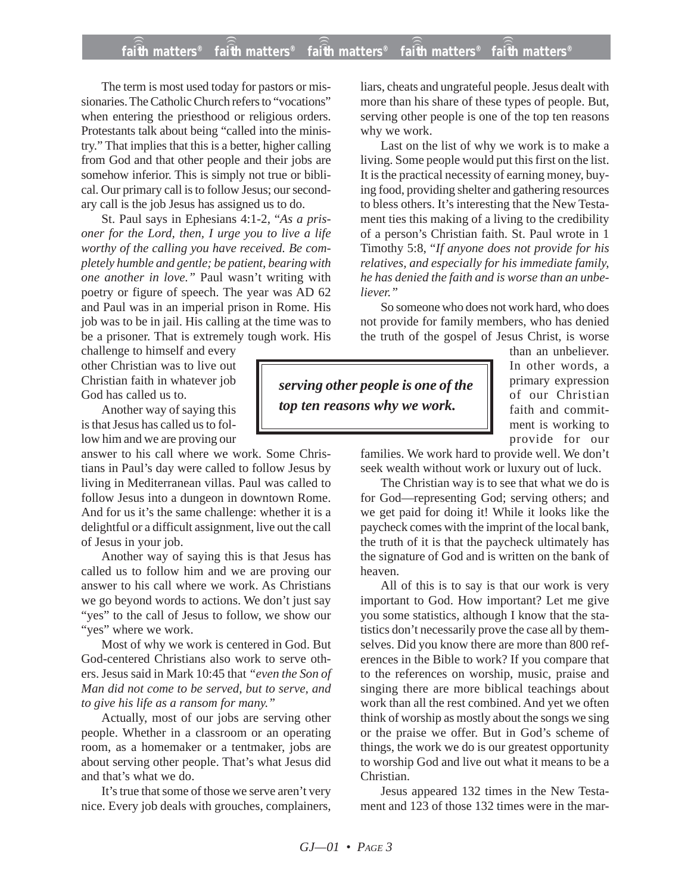## **faith matters® faith matters® faith matters® faith matters® faith matters®** ))) ))) ))) ))) )))

The term is most used today for pastors or missionaries. The Catholic Church refers to "vocations" when entering the priesthood or religious orders. Protestants talk about being "called into the ministry." That implies that this is a better, higher calling from God and that other people and their jobs are somehow inferior. This is simply not true or biblical. Our primary call is to follow Jesus; our secondary call is the job Jesus has assigned us to do.

St. Paul says in Ephesians 4:1-2, "*As a prisoner for the Lord, then, I urge you to live a life worthy of the calling you have received. Be completely humble and gentle; be patient, bearing with one another in love."* Paul wasn't writing with poetry or figure of speech. The year was AD 62 and Paul was in an imperial prison in Rome. His job was to be in jail. His calling at the time was to be a prisoner. That is extremely tough work. His

challenge to himself and every other Christian was to live out Christian faith in whatever job God has called us to.

Another way of saying this is that Jesus has called us to follow him and we are proving our

answer to his call where we work. Some Christians in Paul's day were called to follow Jesus by living in Mediterranean villas. Paul was called to follow Jesus into a dungeon in downtown Rome. And for us it's the same challenge: whether it is a delightful or a difficult assignment, live out the call of Jesus in your job.

Another way of saying this is that Jesus has called us to follow him and we are proving our answer to his call where we work. As Christians we go beyond words to actions. We don't just say "yes" to the call of Jesus to follow, we show our "yes" where we work.

Most of why we work is centered in God. But God-centered Christians also work to serve others. Jesus said in Mark 10:45 that *"even the Son of Man did not come to be served, but to serve, and to give his life as a ransom for many."*

Actually, most of our jobs are serving other people. Whether in a classroom or an operating room, as a homemaker or a tentmaker, jobs are about serving other people. That's what Jesus did and that's what we do.

It's true that some of those we serve aren't very nice. Every job deals with grouches, complainers, liars, cheats and ungrateful people. Jesus dealt with more than his share of these types of people. But, serving other people is one of the top ten reasons why we work.

Last on the list of why we work is to make a living. Some people would put this first on the list. It is the practical necessity of earning money, buying food, providing shelter and gathering resources to bless others. It's interesting that the New Testament ties this making of a living to the credibility of a person's Christian faith. St. Paul wrote in 1 Timothy 5:8, "*If anyone does not provide for his relatives, and especially for his immediate family, he has denied the faith and is worse than an unbeliever."*

So someone who does not work hard, who does not provide for family members, who has denied the truth of the gospel of Jesus Christ, is worse

*serving other people is one of the top ten reasons why we work.*

than an unbeliever. In other words, a primary expression of our Christian faith and commitment is working to provide for our

families. We work hard to provide well. We don't seek wealth without work or luxury out of luck.

The Christian way is to see that what we do is for God—representing God; serving others; and we get paid for doing it! While it looks like the paycheck comes with the imprint of the local bank, the truth of it is that the paycheck ultimately has the signature of God and is written on the bank of heaven.

All of this is to say is that our work is very important to God. How important? Let me give you some statistics, although I know that the statistics don't necessarily prove the case all by themselves. Did you know there are more than 800 references in the Bible to work? If you compare that to the references on worship, music, praise and singing there are more biblical teachings about work than all the rest combined. And yet we often think of worship as mostly about the songs we sing or the praise we offer. But in God's scheme of things, the work we do is our greatest opportunity to worship God and live out what it means to be a Christian.

Jesus appeared 132 times in the New Testament and 123 of those 132 times were in the mar